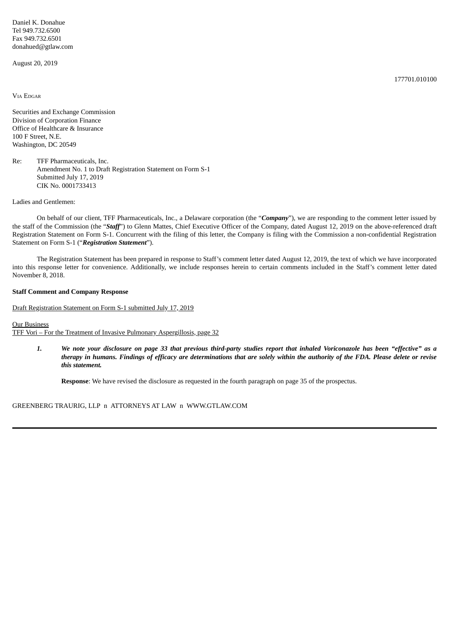Daniel K. Donahue Tel 949.732.6500 Fax 949.732.6501 donahued@gtlaw.com

August 20, 2019

VIA EDGAR

Securities and Exchange Commission Division of Corporation Finance Office of Healthcare & Insurance 100 F Street, N.E. Washington, DC 20549

Re: TFF Pharmaceuticals, Inc. Amendment No. 1 to Draft Registration Statement on Form S-1 Submitted July 17, 2019 CIK No. 0001733413

Ladies and Gentlemen:

On behalf of our client, TFF Pharmaceuticals, Inc., a Delaware corporation (the "*Company*"), we are responding to the comment letter issued by the staff of the Commission (the "*Staff*") to Glenn Mattes, Chief Executive Officer of the Company, dated August 12, 2019 on the above-referenced draft Registration Statement on Form S-1. Concurrent with the filing of this letter, the Company is filing with the Commission a non-confidential Registration Statement on Form S-1 ("*Registration Statement*").

The Registration Statement has been prepared in response to Staff's comment letter dated August 12, 2019, the text of which we have incorporated into this response letter for convenience. Additionally, we include responses herein to certain comments included in the Staff's comment letter dated November 8, 2018.

## **Staff Comment and Company Response**

Draft Registration Statement on Form S-1 submitted July 17, 2019

Our Business

TFF Vori – For the Treatment of Invasive Pulmonary Aspergillosis, page 32

1. We note your disclosure on page 33 that previous third-party studies report that inhaled Voriconazole has been "effective" as a therapy in humans. Findings of efficacy are determinations that are solely within the authority of the FDA. Please delete or revise *this statement.*

**Response**: We have revised the disclosure as requested in the fourth paragraph on page 35 of the prospectus.

GREENBERG TRAURIG, LLP n ATTORNEYS AT LAW n WWW.GTLAW.COM

177701.010100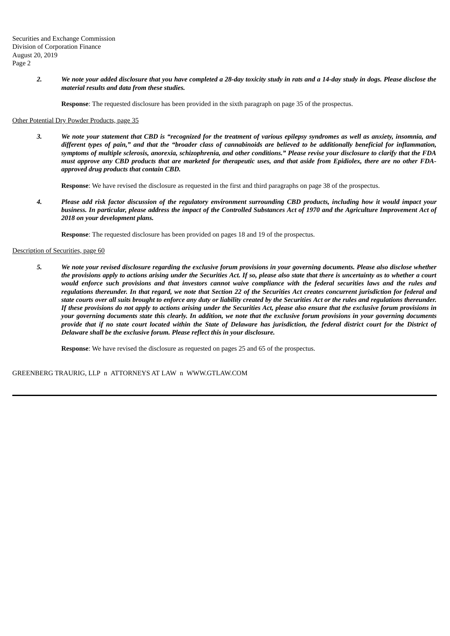2. We note your added disclosure that you have completed a 28-day toxicity study in rats and a 14-day study in dogs. Please disclose the *material results and data from these studies.*

**Response**: The requested disclosure has been provided in the sixth paragraph on page 35 of the prospectus.

# Other Potential Dry Powder Products, page 35

3. We note your statement that CBD is "recognized for the treatment of various epilepsy syndromes as well as anxiety, insomnia, and different types of pain," and that the "broader class of cannabinoids are believed to be additionally beneficial for inflammation, symptoms of multiple sclerosis, anorexia, schizophrenia, and other conditions." Please revise your disclosure to clarify that the FDA must approve any CBD products that are marketed for therapeutic uses, and that aside from Epidiolex, there are no other FDA*approved drug products that contain CBD.*

**Response**: We have revised the disclosure as requested in the first and third paragraphs on page 38 of the prospectus.

4. Please add risk factor discussion of the regulatory environment surrounding CBD products, including how it would impact your business. In particular, please address the impact of the Controlled Substances Act of 1970 and the Agriculture Improvement Act of *2018 on your development plans.*

**Response**: The requested disclosure has been provided on pages 18 and 19 of the prospectus.

# Description of Securities, page 60

5. We note your revised disclosure regarding the exclusive forum provisions in your governing documents. Please also disclose whether the provisions apply to actions arising under the Securities Act. If so, please also state that there is uncertainty as to whether a court would enforce such provisions and that investors cannot waive compliance with the federal securities laws and the rules and regulations thereunder. In that regard, we note that Section 22 of the Securities Act creates concurrent jurisdiction for federal and state courts over all suits brought to enforce any duty or liability created by the Securities Act or the rules and regulations thereunder. If these provisions do not apply to actions arising under the Securities Act, please also ensure that the exclusive forum provisions in your governing documents state this clearly. In addition, we note that the exclusive forum provisions in your governing documents provide that if no state court located within the State of Delaware has jurisdiction, the federal district court for the District of *Delaware shall be the exclusive forum. Please reflect this in your disclosure.*

**Response**: We have revised the disclosure as requested on pages 25 and 65 of the prospectus.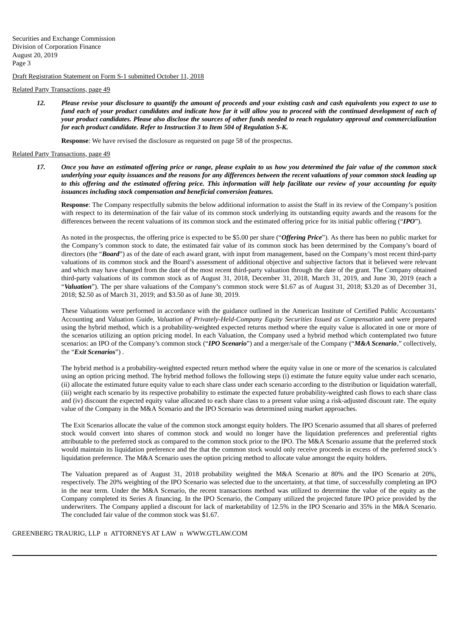Draft Registration Statement on Form S-1 submitted October 11, 2018

## Related Party Transactions, page 49

12. Please revise your disclosure to quantify the amount of proceeds and your existing cash and cash equivalents you expect to use to fund each of your product candidates and indicate how far it will allow you to proceed with the continued development of each of your product candidates. Please also disclose the sources of other funds needed to reach regulatory approval and commercialization *for each product candidate. Refer to Instruction 3 to Item 504 of Regulation S-K.*

**Response**: We have revised the disclosure as requested on page 58 of the prospectus.

## Related Party Transactions, page 49

17. Once you have an estimated offering price or range, please explain to us how you determined the fair value of the common stock underlying your equity issuances and the reasons for any differences between the recent valuations of your common stock leading up to this offering and the estimated offering price. This information will help facilitate our review of your accounting for equity *issuances including stock compensation and beneficial conversion features.*

**Response**: The Company respectfully submits the below additional information to assist the Staff in its review of the Company's position with respect to its determination of the fair value of its common stock underlying its outstanding equity awards and the reasons for the differences between the recent valuations of its common stock and the estimated offering price for its initial public offering ("*IPO*").

As noted in the prospectus, the offering price is expected to be \$5.00 per share ("*Offering Price*"). As there has been no public market for the Company's common stock to date, the estimated fair value of its common stock has been determined by the Company's board of directors (the "**Board**") as of the date of each award grant, with input from management, based on the Company's most recent third-party valuations of its common stock and the Board's assessment of additional objective and subjective factors that it believed were relevant and which may have changed from the date of the most recent third-party valuation through the date of the grant. The Company obtained third-party valuations of its common stock as of August 31, 2018, December 31, 2018, March 31, 2019, and June 30, 2019 (each a "*Valuation*"). The per share valuations of the Company's common stock were \$1.67 as of August 31, 2018; \$3.20 as of December 31, 2018; \$2.50 as of March 31, 2019; and \$3.50 as of June 30, 2019.

These Valuations were performed in accordance with the guidance outlined in the American Institute of Certified Public Accountants' Accounting and Valuation Guide, *Valuation of Privately-Held-Company Equity Securities Issued as Compensation* and were prepared using the hybrid method, which is a probability-weighted expected returns method where the equity value is allocated in one or more of the scenarios utilizing an option pricing model. In each Valuation, the Company used a hybrid method which contemplated two future scenarios: an IPO of the Company's common stock ("*IPO Scenario*") and a merger/sale of the Company ("*M&A Scenario*," collectively, the "*Exit Scenarios*") .

The hybrid method is a probability-weighted expected return method where the equity value in one or more of the scenarios is calculated using an option pricing method. The hybrid method follows the following steps (i) estimate the future equity value under each scenario, (ii) allocate the estimated future equity value to each share class under each scenario according to the distribution or liquidation waterfall, (iii) weight each scenario by its respective probability to estimate the expected future probability-weighted cash flows to each share class and (iv) discount the expected equity value allocated to each share class to a present value using a risk-adjusted discount rate. The equity value of the Company in the M&A Scenario and the IPO Scenario was determined using market approaches.

The Exit Scenarios allocate the value of the common stock amongst equity holders. The IPO Scenario assumed that all shares of preferred stock would convert into shares of common stock and would no longer have the liquidation preferences and preferential rights attributable to the preferred stock as compared to the common stock prior to the IPO. The M&A Scenario assume that the preferred stock would maintain its liquidation preference and the that the common stock would only receive proceeds in excess of the preferred stock's liquidation preference. The M&A Scenario uses the option pricing method to allocate value amongst the equity holders.

The Valuation prepared as of August 31, 2018 probability weighted the M&A Scenario at 80% and the IPO Scenario at 20%, respectively. The 20% weighting of the IPO Scenario was selected due to the uncertainty, at that time, of successfully completing an IPO in the near term. Under the M&A Scenario, the recent transactions method was utilized to determine the value of the equity as the Company completed its Series A financing. In the IPO Scenario, the Company utilized the projected future IPO price provided by the underwriters. The Company applied a discount for lack of marketability of 12.5% in the IPO Scenario and 35% in the M&A Scenario. The concluded fair value of the common stock was \$1.67.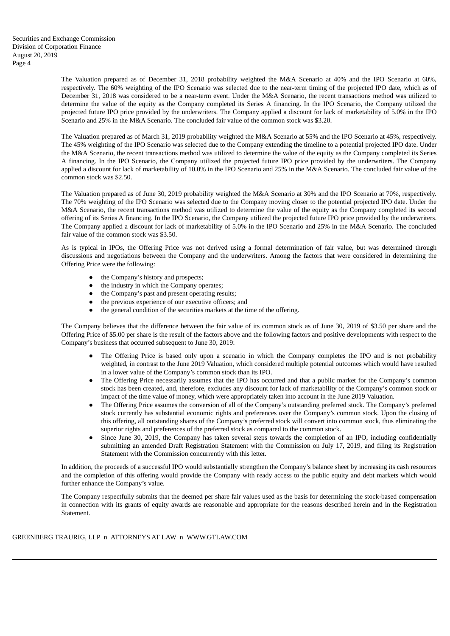The Valuation prepared as of December 31, 2018 probability weighted the M&A Scenario at 40% and the IPO Scenario at 60%, respectively. The 60% weighting of the IPO Scenario was selected due to the near-term timing of the projected IPO date, which as of December 31, 2018 was considered to be a near-term event. Under the M&A Scenario, the recent transactions method was utilized to determine the value of the equity as the Company completed its Series A financing. In the IPO Scenario, the Company utilized the projected future IPO price provided by the underwriters. The Company applied a discount for lack of marketability of 5.0% in the IPO Scenario and 25% in the M&A Scenario. The concluded fair value of the common stock was \$3.20.

The Valuation prepared as of March 31, 2019 probability weighted the M&A Scenario at 55% and the IPO Scenario at 45%, respectively. The 45% weighting of the IPO Scenario was selected due to the Company extending the timeline to a potential projected IPO date. Under the M&A Scenario, the recent transactions method was utilized to determine the value of the equity as the Company completed its Series A financing. In the IPO Scenario, the Company utilized the projected future IPO price provided by the underwriters. The Company applied a discount for lack of marketability of 10.0% in the IPO Scenario and 25% in the M&A Scenario. The concluded fair value of the common stock was \$2.50.

The Valuation prepared as of June 30, 2019 probability weighted the M&A Scenario at 30% and the IPO Scenario at 70%, respectively. The 70% weighting of the IPO Scenario was selected due to the Company moving closer to the potential projected IPO date. Under the M&A Scenario, the recent transactions method was utilized to determine the value of the equity as the Company completed its second offering of its Series A financing. In the IPO Scenario, the Company utilized the projected future IPO price provided by the underwriters. The Company applied a discount for lack of marketability of 5.0% in the IPO Scenario and 25% in the M&A Scenario. The concluded fair value of the common stock was \$3.50.

As is typical in IPOs, the Offering Price was not derived using a formal determination of fair value, but was determined through discussions and negotiations between the Company and the underwriters. Among the factors that were considered in determining the Offering Price were the following:

- the Company's history and prospects;
- the industry in which the Company operates;
- the Company's past and present operating results;
- the previous experience of our executive officers; and
- the general condition of the securities markets at the time of the offering.

The Company believes that the difference between the fair value of its common stock as of June 30, 2019 of \$3.50 per share and the Offering Price of \$5.00 per share is the result of the factors above and the following factors and positive developments with respect to the Company's business that occurred subsequent to June 30, 2019:

- The Offering Price is based only upon a scenario in which the Company completes the IPO and is not probability weighted, in contrast to the June 2019 Valuation, which considered multiple potential outcomes which would have resulted in a lower value of the Company's common stock than its IPO.
- The Offering Price necessarily assumes that the IPO has occurred and that a public market for the Company's common stock has been created, and, therefore, excludes any discount for lack of marketability of the Company's common stock or impact of the time value of money, which were appropriately taken into account in the June 2019 Valuation.
- The Offering Price assumes the conversion of all of the Company's outstanding preferred stock. The Company's preferred stock currently has substantial economic rights and preferences over the Company's common stock. Upon the closing of this offering, all outstanding shares of the Company's preferred stock will convert into common stock, thus eliminating the superior rights and preferences of the preferred stock as compared to the common stock.
- Since June 30, 2019, the Company has taken several steps towards the completion of an IPO, including confidentially submitting an amended Draft Registration Statement with the Commission on July 17, 2019, and filing its Registration Statement with the Commission concurrently with this letter.

In addition, the proceeds of a successful IPO would substantially strengthen the Company's balance sheet by increasing its cash resources and the completion of this offering would provide the Company with ready access to the public equity and debt markets which would further enhance the Company's value.

The Company respectfully submits that the deemed per share fair values used as the basis for determining the stock-based compensation in connection with its grants of equity awards are reasonable and appropriate for the reasons described herein and in the Registration Statement.